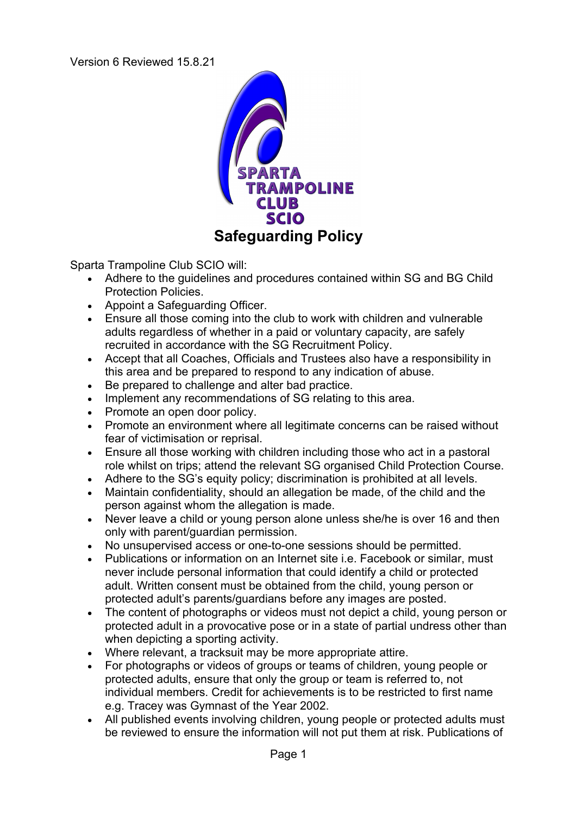Version 6 Reviewed 15.8.21



Sparta Trampoline Club SCIO will:

- Adhere to the guidelines and procedures contained within SG and BG Child Protection Policies.
- Appoint a Safeguarding Officer.
- Ensure all those coming into the club to work with children and vulnerable adults regardless of whether in a paid or voluntary capacity, are safely recruited in accordance with the SG Recruitment Policy.
- Accept that all Coaches, Officials and Trustees also have a responsibility in this area and be prepared to respond to any indication of abuse.
- Be prepared to challenge and alter bad practice.
- Implement any recommendations of SG relating to this area.
- Promote an open door policy.
- Promote an environment where all legitimate concerns can be raised without fear of victimisation or reprisal.
- Ensure all those working with children including those who act in a pastoral role whilst on trips; attend the relevant SG organised Child Protection Course.
- Adhere to the SG's equity policy; discrimination is prohibited at all levels.
- Maintain confidentiality, should an allegation be made, of the child and the person against whom the allegation is made.
- Never leave a child or young person alone unless she/he is over 16 and then only with parent/guardian permission.
- No unsupervised access or one-to-one sessions should be permitted.
- Publications or information on an Internet site i.e. Facebook or similar, must never include personal information that could identify a child or protected adult. Written consent must be obtained from the child, young person or protected adult's parents/guardians before any images are posted.
- The content of photographs or videos must not depict a child, young person or protected adult in a provocative pose or in a state of partial undress other than when depicting a sporting activity.
- Where relevant, a tracksuit may be more appropriate attire.
- For photographs or videos of groups or teams of children, young people or protected adults, ensure that only the group or team is referred to, not individual members. Credit for achievements is to be restricted to first name e.g. Tracey was Gymnast of the Year 2002.
- All published events involving children, young people or protected adults must be reviewed to ensure the information will not put them at risk. Publications of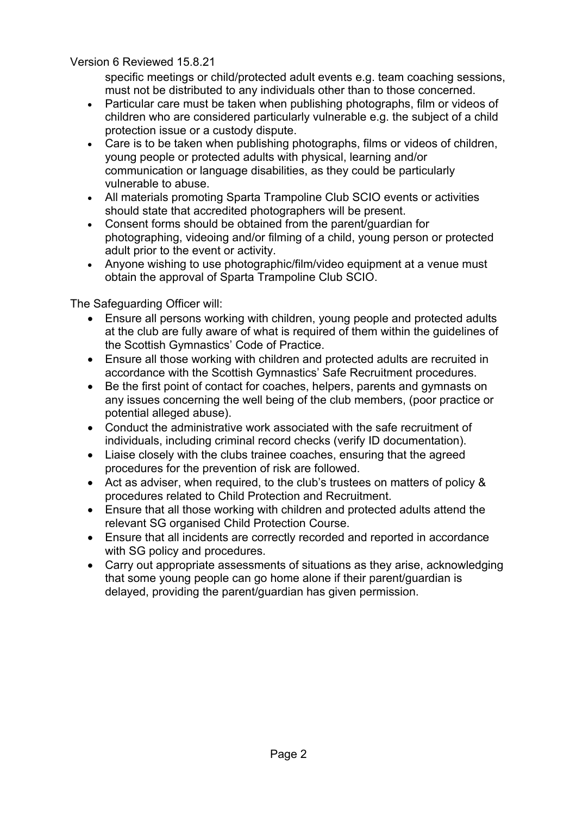Version 6 Reviewed 15.8.21

specific meetings or child/protected adult events e.g. team coaching sessions, must not be distributed to any individuals other than to those concerned.

- Particular care must be taken when publishing photographs, film or videos of children who are considered particularly vulnerable e.g. the subject of a child protection issue or a custody dispute.
- Care is to be taken when publishing photographs, films or videos of children, young people or protected adults with physical, learning and/or communication or language disabilities, as they could be particularly vulnerable to abuse.
- All materials promoting Sparta Trampoline Club SCIO events or activities should state that accredited photographers will be present.
- Consent forms should be obtained from the parent/guardian for photographing, videoing and/or filming of a child, young person or protected adult prior to the event or activity.
- Anyone wishing to use photographic/film/video equipment at a venue must obtain the approval of Sparta Trampoline Club SCIO.

The Safeguarding Officer will:

- Ensure all persons working with children, young people and protected adults at the club are fully aware of what is required of them within the guidelines of the Scottish Gymnastics' Code of Practice.
- Ensure all those working with children and protected adults are recruited in accordance with the Scottish Gymnastics' Safe Recruitment procedures.
- Be the first point of contact for coaches, helpers, parents and gymnasts on any issues concerning the well being of the club members, (poor practice or potential alleged abuse).
- Conduct the administrative work associated with the safe recruitment of individuals, including criminal record checks (verify ID documentation).
- Liaise closely with the clubs trainee coaches, ensuring that the agreed procedures for the prevention of risk are followed.
- Act as adviser, when required, to the club's trustees on matters of policy & procedures related to Child Protection and Recruitment.
- Ensure that all those working with children and protected adults attend the relevant SG organised Child Protection Course.
- Ensure that all incidents are correctly recorded and reported in accordance with SG policy and procedures.
- Carry out appropriate assessments of situations as they arise, acknowledging that some young people can go home alone if their parent/guardian is delayed, providing the parent/guardian has given permission.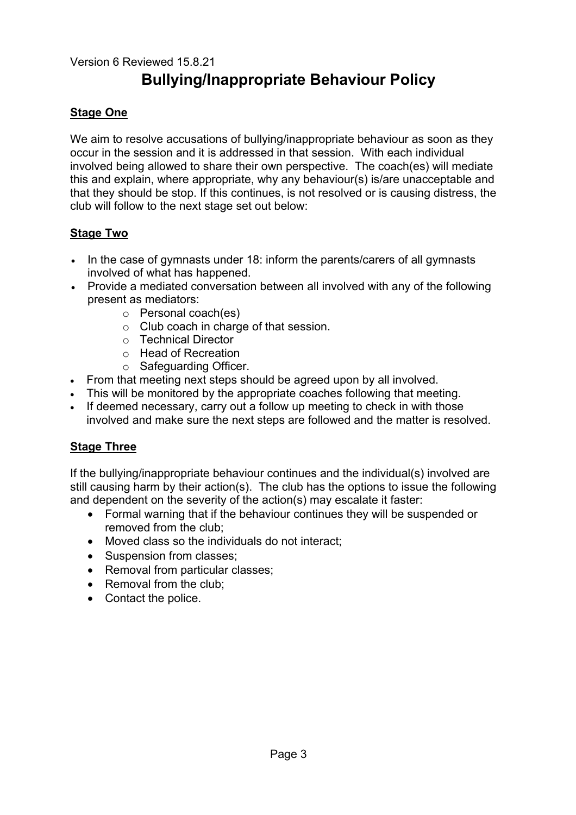# Version 6 Reviewed 15.8.21 **Bullying/Inappropriate Behaviour Policy**

## **Stage One**

We aim to resolve accusations of bullying/inappropriate behaviour as soon as they occur in the session and it is addressed in that session. With each individual involved being allowed to share their own perspective. The coach(es) will mediate this and explain, where appropriate, why any behaviour(s) is/are unacceptable and that they should be stop. If this continues, is not resolved or is causing distress, the club will follow to the next stage set out below:

## **Stage Two**

- In the case of gymnasts under 18: inform the parents/carers of all gymnasts involved of what has happened.
- Provide a mediated conversation between all involved with any of the following present as mediators:
	- o Personal coach(es)
	- o Club coach in charge of that session.
	- o Technical Director
	- o Head of Recreation
	- o Safeguarding Officer.
- From that meeting next steps should be agreed upon by all involved.
- This will be monitored by the appropriate coaches following that meeting.
- If deemed necessary, carry out a follow up meeting to check in with those involved and make sure the next steps are followed and the matter is resolved.

## **Stage Three**

If the bullying/inappropriate behaviour continues and the individual(s) involved are still causing harm by their action(s). The club has the options to issue the following and dependent on the severity of the action(s) may escalate it faster:

- Formal warning that if the behaviour continues they will be suspended or removed from the club;
- Moved class so the individuals do not interact;
- Suspension from classes;
- Removal from particular classes:
- Removal from the club:
- Contact the police.